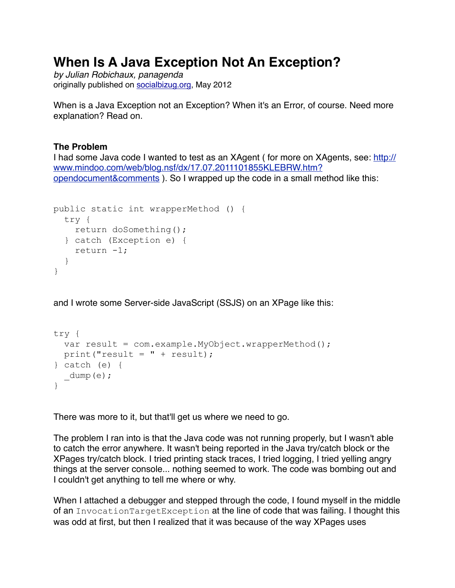# **When Is A Java Exception Not An Exception?**

*by Julian Robichaux, panagenda* originally published on [socialbizug.org](http://socialbizug.org), May 2012

When is a Java Exception not an Exception? When it's an Error, of course. Need more explanation? Read on.

## **The Problem**

I had some Java code I wanted to test as an XAgent ( for more on XAgents, see: [http://](http://www.mindoo.com/web/blog.nsf/dx/17.07.2011101855KLEBRW.htm?opendocument&comments) [www.mindoo.com/web/blog.nsf/dx/17.07.2011101855KLEBRW.htm?](http://www.mindoo.com/web/blog.nsf/dx/17.07.2011101855KLEBRW.htm?opendocument&comments) [opendocument&comments](http://www.mindoo.com/web/blog.nsf/dx/17.07.2011101855KLEBRW.htm?opendocument&comments) ). So I wrapped up the code in a small method like this:

```
public static int wrapperMethod () { 
   try { 
    return doSomething(); 
   } catch (Exception e) { 
     return -1; 
   } 
}
```
and I wrote some Server-side JavaScript (SSJS) on an XPage like this:

```
try { 
   var result = com.example.MyObject.wrapperMethod(); 
  print("result = " + result);
} catch (e) { 
 _dump(e);
}
```
There was more to it, but that'll get us where we need to go.

The problem I ran into is that the Java code was not running properly, but I wasn't able to catch the error anywhere. It wasn't being reported in the Java try/catch block or the XPages try/catch block. I tried printing stack traces, I tried logging, I tried yelling angry things at the server console... nothing seemed to work. The code was bombing out and I couldn't get anything to tell me where or why.

When I attached a debugger and stepped through the code, I found myself in the middle of an InvocationTargetException at the line of code that was failing. I thought this was odd at first, but then I realized that it was because of the way XPages uses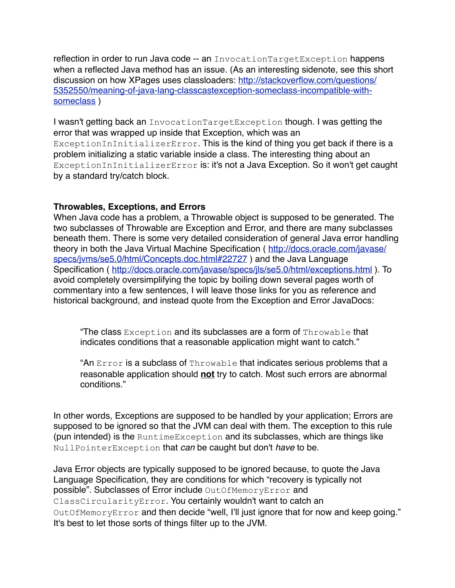reflection in order to run Java code -- an InvocationTargetException happens when a reflected Java method has an issue. (As an interesting sidenote, see this short [discussion on how XPages uses classloaders: http://stackoverflow.com/questions/](http://stackoverflow.com/questions/5352550/meaning-of-java-lang-classcastexception-someclass-incompatible-with-someclass) [5352550/meaning-of-java-lang-classcastexception-someclass-incompatible-with](http://stackoverflow.com/questions/5352550/meaning-of-java-lang-classcastexception-someclass-incompatible-with-someclass)[someclass](http://stackoverflow.com/questions/5352550/meaning-of-java-lang-classcastexception-someclass-incompatible-with-someclass) )

I wasn't getting back an InvocationTargetException though. I was getting the error that was wrapped up inside that Exception, which was an ExceptionInInitializerError. This is the kind of thing you get back if there is a problem initializing a static variable inside a class. The interesting thing about an ExceptionInInitializerError is: it's not a Java Exception. So it won't get caught by a standard try/catch block.

### **Throwables, Exceptions, and Errors**

When Java code has a problem, a Throwable object is supposed to be generated. The two subclasses of Throwable are Exception and Error, and there are many subclasses beneath them. There is some very detailed consideration of general Java error handling theory in both the Java Virtual Machine Specification (http://docs.oracle.com/javase/ [specs/jvms/se5.0/html/Concepts.doc.html#22727](http://docs.oracle.com/javase/specs/jvms/se5.0/html/Concepts.doc.html#22727) ) and the Java Language Specification ( <http://docs.oracle.com/javase/specs/jls/se5.0/html/exceptions.html>). To avoid completely oversimplifying the topic by boiling down several pages worth of commentary into a few sentences, I will leave those links for you as reference and historical background, and instead quote from the Exception and Error JavaDocs:

"The class Exception and its subclasses are a form of Throwable that indicates conditions that a reasonable application might want to catch."

"An Error is a subclass of Throwable that indicates serious problems that a reasonable application should **not** try to catch. Most such errors are abnormal conditions."

In other words, Exceptions are supposed to be handled by your application; Errors are supposed to be ignored so that the JVM can deal with them. The exception to this rule (pun intended) is the RuntimeException and its subclasses, which are things like NullPointerException that *can* be caught but don't *have* to be.

Java Error objects are typically supposed to be ignored because, to quote the Java Language Specification, they are conditions for which "recovery is typically not possible". Subclasses of Error include OutOfMemoryError and ClassCircularityError. You certainly wouldn't want to catch an OutOfMemoryError and then decide "well, I'll just ignore that for now and keep going." It's best to let those sorts of things filter up to the JVM.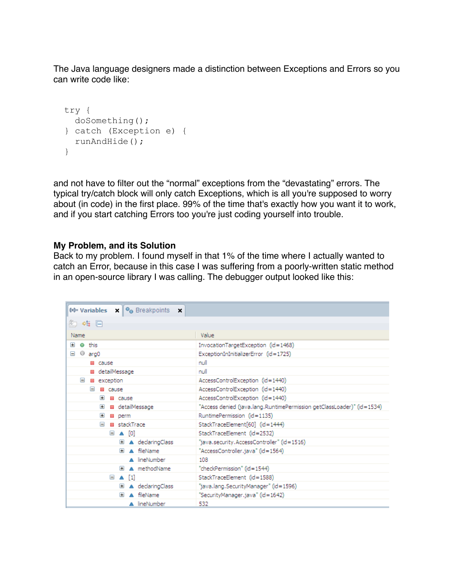The Java language designers made a distinction between Exceptions and Errors so you can write code like:

```
 try { 
  doSomething(); 
 } catch (Exception e) { 
  runAndHide(); 
 }
```
and not have to filter out the "normal" exceptions from the "devastating" errors. The typical try/catch block will only catch Exceptions, which is all you're supposed to worry about (in code) in the first place. 99% of the time that's exactly how you want it to work, and if you start catching Errors too you're just coding yourself into trouble.

#### **My Problem, and its Solution**

Back to my problem. I found myself in that 1% of the time where I actually wanted to catch an Error, because in this case I was suffering from a poorly-written static method in an open-source library I was calling. The debugger output looked like this:

| (x)= Variables $x \parallel \Theta_0$ Breakpoints $x$ |                                                                        |
|-------------------------------------------------------|------------------------------------------------------------------------|
| 《□ ※幅 旧                                               |                                                                        |
| Name                                                  | Value                                                                  |
| Œ<br>$\bullet$ this                                   | InvocationTargetException (id=1468)                                    |
| $@$ arg0<br>$=$                                       | ExceptionInInitializerError (id=1725)                                  |
| <b>El</b> cause                                       | null                                                                   |
| ■ detailMessage                                       | null                                                                   |
| $\equiv$<br>■ exception                               | AccessControlException (id=1440)                                       |
| $\equiv$<br><b>El cause</b>                           | AccessControlException (id=1440)                                       |
| Œ<br><b>El cause</b>                                  | AccessControlException (id=1440)                                       |
| ■ detailMessage<br>$\blacksquare$                     | "Access denied (java.lang.RuntimePermission getClassLoader)" (id=1534) |
| $\blacksquare$<br>■ perm                              | RuntimePermission (id=1135)                                            |
| ■ stackTrace<br>$\equiv$                              | StackTraceElement[60] (id=1444)                                        |
| $\boxdot$ $\blacktriangle$ [0]                        | StackTraceElement (id=2532)                                            |
| El A declaringClass                                   | "java.security.AccessController" (id=1516)                             |
| A fileName<br>Œ                                       | "AccessController.java" (id=1564)                                      |
| A lineNumber                                          | 108                                                                    |
| A methodName<br>$\blacksquare$                        | "checkPermission" (id=1544)                                            |
| $\boxminus$ A $[1]$                                   | StackTraceElement (id=1588)                                            |
| A declaringClass<br>$\pm$                             | "java.lang.SecurityManager" (id=1596)                                  |
| A fileName<br>$\blacksquare$                          | "SecurityManager.java" (id=1642)                                       |
| A lineNumber                                          | 532                                                                    |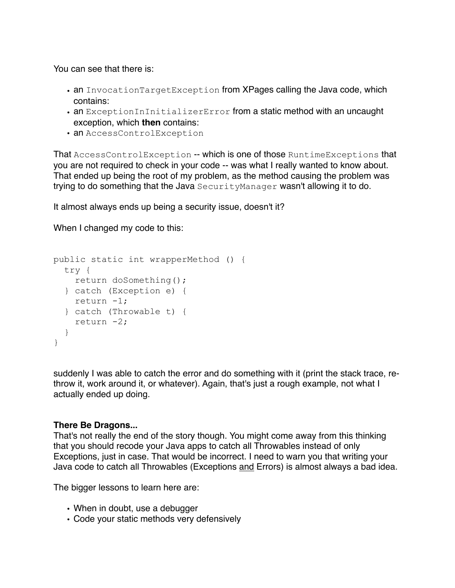You can see that there is:

- an InvocationTargetException from XPages calling the Java code, which contains:
- an ExceptionInInitializerError from a static method with an uncaught exception, which **then** contains:
- an AccessControlException

That AccessControlException -- which is one of those RuntimeExceptions that you are not required to check in your code -- was what I really wanted to know about. That ended up being the root of my problem, as the method causing the problem was trying to do something that the Java SecurityManager wasn't allowing it to do.

It almost always ends up being a security issue, doesn't it?

When I changed my code to this:

```
public static int wrapperMethod () { 
   try { 
    return doSomething(); 
   } catch (Exception e) { 
     return -1; 
   } catch (Throwable t) { 
     return -2; 
   } 
}
```
suddenly I was able to catch the error and do something with it (print the stack trace, rethrow it, work around it, or whatever). Again, that's just a rough example, not what I actually ended up doing.

### **There Be Dragons...**

That's not really the end of the story though. You might come away from this thinking that you should recode your Java apps to catch all Throwables instead of only Exceptions, just in case. That would be incorrect. I need to warn you that writing your Java code to catch all Throwables (Exceptions and Errors) is almost always a bad idea.

The bigger lessons to learn here are:

- When in doubt, use a debugger
- Code your static methods very defensively